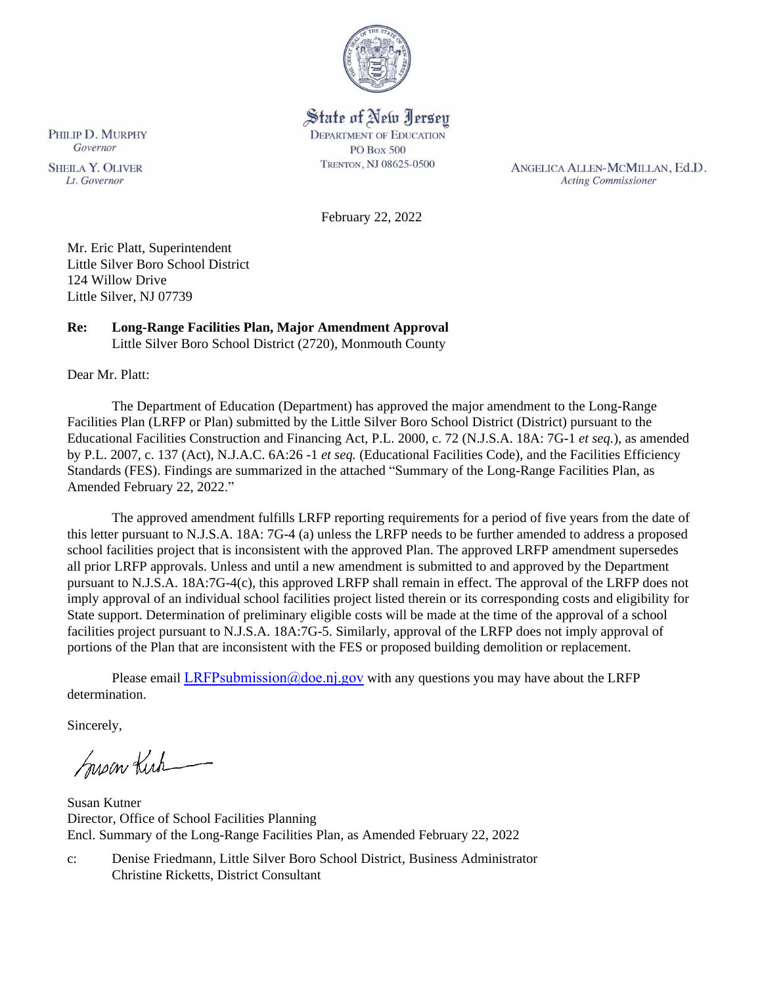

# State of New Jersey

**DEPARTMENT OF EDUCATION PO Box 500** TRENTON, NJ 08625-0500

ANGELICA ALLEN-MCMILLAN, Ed.D. **Acting Commissioner** 

February 22, 2022

Mr. Eric Platt, Superintendent Little Silver Boro School District 124 Willow Drive Little Silver, NJ 07739

# **Re: Long-Range Facilities Plan, Major Amendment Approval**

Little Silver Boro School District (2720), Monmouth County

Dear Mr. Platt:

The Department of Education (Department) has approved the major amendment to the Long-Range Facilities Plan (LRFP or Plan) submitted by the Little Silver Boro School District (District) pursuant to the Educational Facilities Construction and Financing Act, P.L. 2000, c. 72 (N.J.S.A. 18A: 7G-1 *et seq.*), as amended by P.L. 2007, c. 137 (Act), N.J.A.C. 6A:26 -1 *et seq.* (Educational Facilities Code), and the Facilities Efficiency Standards (FES). Findings are summarized in the attached "Summary of the Long-Range Facilities Plan, as Amended February 22, 2022."

The approved amendment fulfills LRFP reporting requirements for a period of five years from the date of this letter pursuant to N.J.S.A. 18A: 7G-4 (a) unless the LRFP needs to be further amended to address a proposed school facilities project that is inconsistent with the approved Plan. The approved LRFP amendment supersedes all prior LRFP approvals. Unless and until a new amendment is submitted to and approved by the Department pursuant to N.J.S.A. 18A:7G-4(c), this approved LRFP shall remain in effect. The approval of the LRFP does not imply approval of an individual school facilities project listed therein or its corresponding costs and eligibility for State support. Determination of preliminary eligible costs will be made at the time of the approval of a school facilities project pursuant to N.J.S.A. 18A:7G-5. Similarly, approval of the LRFP does not imply approval of portions of the Plan that are inconsistent with the FES or proposed building demolition or replacement.

Please email LRFPsubmission  $@doen$  i.gov with any questions you may have about the LRFP determination.

Sincerely,

Susan Kich

Susan Kutner Director, Office of School Facilities Planning Encl. Summary of the Long-Range Facilities Plan, as Amended February 22, 2022

c: Denise Friedmann, Little Silver Boro School District, Business Administrator Christine Ricketts, District Consultant

PHILIP D. MURPHY Governor

**SHEILA Y. OLIVER** Lt. Governor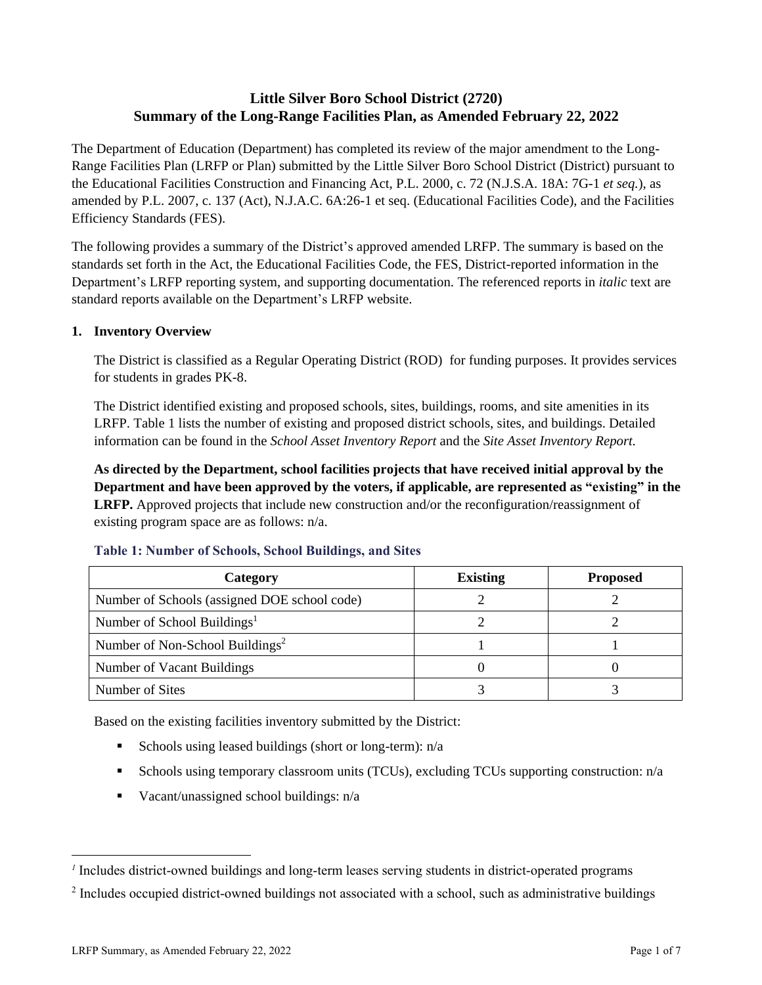# **Little Silver Boro School District (2720) Summary of the Long-Range Facilities Plan, as Amended February 22, 2022**

The Department of Education (Department) has completed its review of the major amendment to the Long-Range Facilities Plan (LRFP or Plan) submitted by the Little Silver Boro School District (District) pursuant to the Educational Facilities Construction and Financing Act, P.L. 2000, c. 72 (N.J.S.A. 18A: 7G-1 *et seq.*), as amended by P.L. 2007, c. 137 (Act), N.J.A.C. 6A:26-1 et seq. (Educational Facilities Code), and the Facilities Efficiency Standards (FES).

The following provides a summary of the District's approved amended LRFP. The summary is based on the standards set forth in the Act, the Educational Facilities Code, the FES, District-reported information in the Department's LRFP reporting system, and supporting documentation. The referenced reports in *italic* text are standard reports available on the Department's LRFP website.

#### **1. Inventory Overview**

The District is classified as a Regular Operating District (ROD) for funding purposes. It provides services for students in grades PK-8.

The District identified existing and proposed schools, sites, buildings, rooms, and site amenities in its LRFP. Table 1 lists the number of existing and proposed district schools, sites, and buildings. Detailed information can be found in the *School Asset Inventory Report* and the *Site Asset Inventory Report.*

**As directed by the Department, school facilities projects that have received initial approval by the Department and have been approved by the voters, if applicable, are represented as "existing" in the LRFP.** Approved projects that include new construction and/or the reconfiguration/reassignment of existing program space are as follows: n/a.

| Category                                     | <b>Existing</b> | <b>Proposed</b> |
|----------------------------------------------|-----------------|-----------------|
| Number of Schools (assigned DOE school code) |                 |                 |
| Number of School Buildings <sup>1</sup>      |                 |                 |
| Number of Non-School Buildings <sup>2</sup>  |                 |                 |
| Number of Vacant Buildings                   |                 |                 |
| Number of Sites                              |                 |                 |

#### **Table 1: Number of Schools, School Buildings, and Sites**

Based on the existing facilities inventory submitted by the District:

- **•** Schools using leased buildings (short or long-term):  $n/a$
- Schools using temporary classroom units (TCUs), excluding TCUs supporting construction: n/a
- $\blacksquare$  Vacant/unassigned school buildings:  $n/a$

*<sup>1</sup>* Includes district-owned buildings and long-term leases serving students in district-operated programs

 $2$  Includes occupied district-owned buildings not associated with a school, such as administrative buildings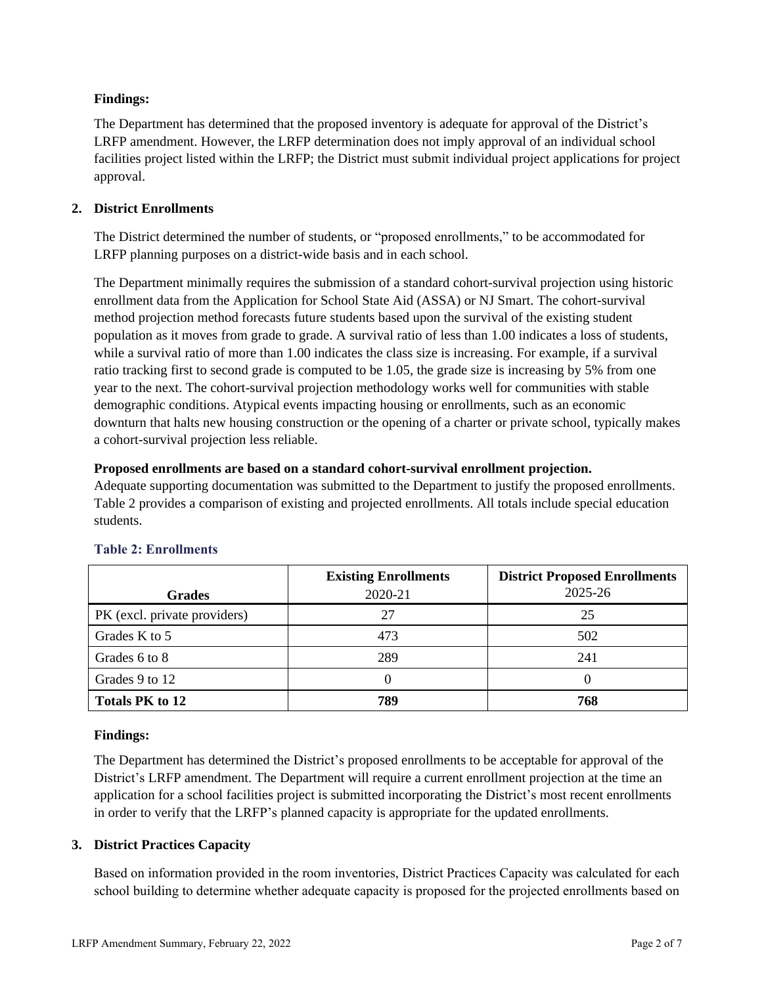# **Findings:**

The Department has determined that the proposed inventory is adequate for approval of the District's LRFP amendment. However, the LRFP determination does not imply approval of an individual school facilities project listed within the LRFP; the District must submit individual project applications for project approval.

# **2. District Enrollments**

The District determined the number of students, or "proposed enrollments," to be accommodated for LRFP planning purposes on a district-wide basis and in each school.

The Department minimally requires the submission of a standard cohort-survival projection using historic enrollment data from the Application for School State Aid (ASSA) or NJ Smart. The cohort-survival method projection method forecasts future students based upon the survival of the existing student population as it moves from grade to grade. A survival ratio of less than 1.00 indicates a loss of students, while a survival ratio of more than 1.00 indicates the class size is increasing. For example, if a survival ratio tracking first to second grade is computed to be 1.05, the grade size is increasing by 5% from one year to the next. The cohort-survival projection methodology works well for communities with stable demographic conditions. Atypical events impacting housing or enrollments, such as an economic downturn that halts new housing construction or the opening of a charter or private school, typically makes a cohort-survival projection less reliable.

## **Proposed enrollments are based on a standard cohort-survival enrollment projection.**

Adequate supporting documentation was submitted to the Department to justify the proposed enrollments. Table 2 provides a comparison of existing and projected enrollments. All totals include special education students.

|                              | <b>Existing Enrollments</b> | <b>District Proposed Enrollments</b> |
|------------------------------|-----------------------------|--------------------------------------|
| <b>Grades</b>                | 2020-21                     | 2025-26                              |
| PK (excl. private providers) | 27                          | 25                                   |
| Grades K to 5                | 473                         | 502                                  |
| Grades 6 to 8                | 289                         | 241                                  |
| Grades 9 to 12               |                             | 0                                    |
| <b>Totals PK to 12</b>       | 789                         | 768                                  |

# **Table 2: Enrollments**

## **Findings:**

The Department has determined the District's proposed enrollments to be acceptable for approval of the District's LRFP amendment. The Department will require a current enrollment projection at the time an application for a school facilities project is submitted incorporating the District's most recent enrollments in order to verify that the LRFP's planned capacity is appropriate for the updated enrollments.

## **3. District Practices Capacity**

Based on information provided in the room inventories, District Practices Capacity was calculated for each school building to determine whether adequate capacity is proposed for the projected enrollments based on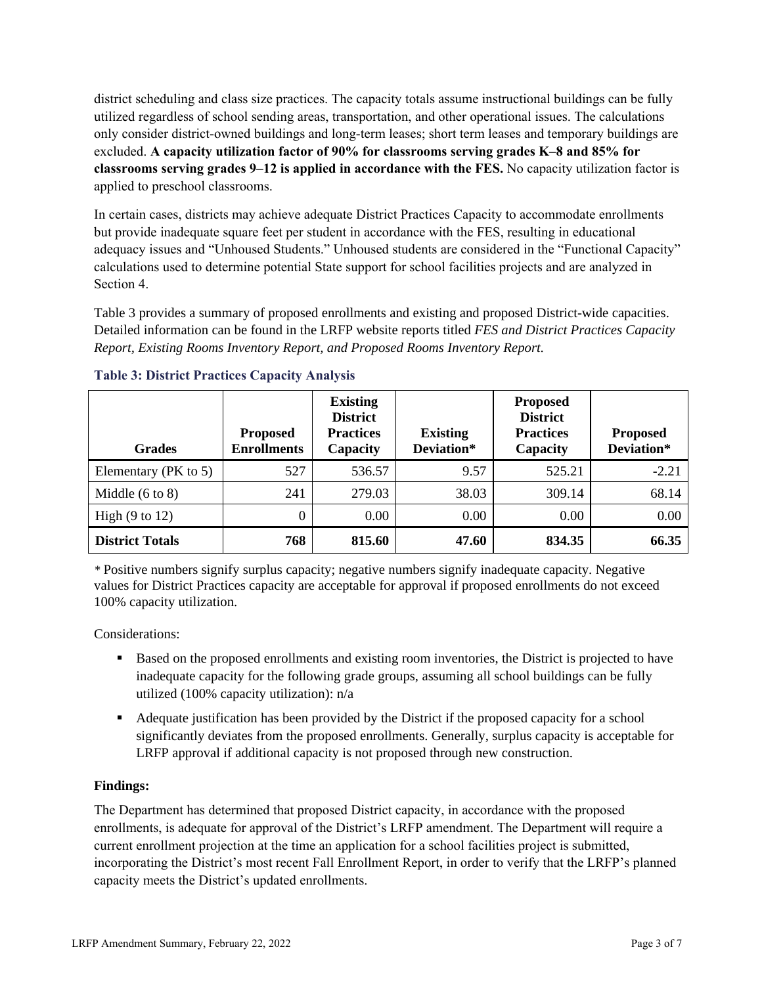district scheduling and class size practices. The capacity totals assume instructional buildings can be fully utilized regardless of school sending areas, transportation, and other operational issues. The calculations only consider district-owned buildings and long-term leases; short term leases and temporary buildings are excluded. **A capacity utilization factor of 90% for classrooms serving grades K–8 and 85% for classrooms serving grades 9–12 is applied in accordance with the FES.** No capacity utilization factor is applied to preschool classrooms.

In certain cases, districts may achieve adequate District Practices Capacity to accommodate enrollments but provide inadequate square feet per student in accordance with the FES, resulting in educational adequacy issues and "Unhoused Students." Unhoused students are considered in the "Functional Capacity" calculations used to determine potential State support for school facilities projects and are analyzed in Section 4.

Table 3 provides a summary of proposed enrollments and existing and proposed District-wide capacities. Detailed information can be found in the LRFP website reports titled *FES and District Practices Capacity Report, Existing Rooms Inventory Report, and Proposed Rooms Inventory Report.*

| <b>Grades</b>              | <b>Proposed</b><br><b>Enrollments</b> | <b>Existing</b><br><b>District</b><br><b>Practices</b><br>Capacity | <b>Existing</b><br>Deviation* | <b>Proposed</b><br><b>District</b><br><b>Practices</b><br>Capacity | <b>Proposed</b><br>Deviation* |
|----------------------------|---------------------------------------|--------------------------------------------------------------------|-------------------------------|--------------------------------------------------------------------|-------------------------------|
| Elementary (PK to 5)       | 527                                   | 536.57                                                             | 9.57                          | 525.21                                                             | $-2.21$                       |
| Middle $(6 \text{ to } 8)$ | 241                                   | 279.03                                                             | 38.03                         | 309.14                                                             | 68.14                         |
| High $(9 \text{ to } 12)$  | $\theta$                              | 0.00                                                               | 0.00                          | 0.00                                                               | 0.00                          |
| <b>District Totals</b>     | 768                                   | 815.60                                                             | 47.60                         | 834.35                                                             | 66.35                         |

## **Table 3: District Practices Capacity Analysis**

*\** Positive numbers signify surplus capacity; negative numbers signify inadequate capacity. Negative values for District Practices capacity are acceptable for approval if proposed enrollments do not exceed 100% capacity utilization.

Considerations:

- Based on the proposed enrollments and existing room inventories, the District is projected to have inadequate capacity for the following grade groups, assuming all school buildings can be fully utilized (100% capacity utilization): n/a
- Adequate justification has been provided by the District if the proposed capacity for a school significantly deviates from the proposed enrollments. Generally, surplus capacity is acceptable for LRFP approval if additional capacity is not proposed through new construction.

## **Findings:**

The Department has determined that proposed District capacity, in accordance with the proposed enrollments, is adequate for approval of the District's LRFP amendment. The Department will require a current enrollment projection at the time an application for a school facilities project is submitted, incorporating the District's most recent Fall Enrollment Report, in order to verify that the LRFP's planned capacity meets the District's updated enrollments.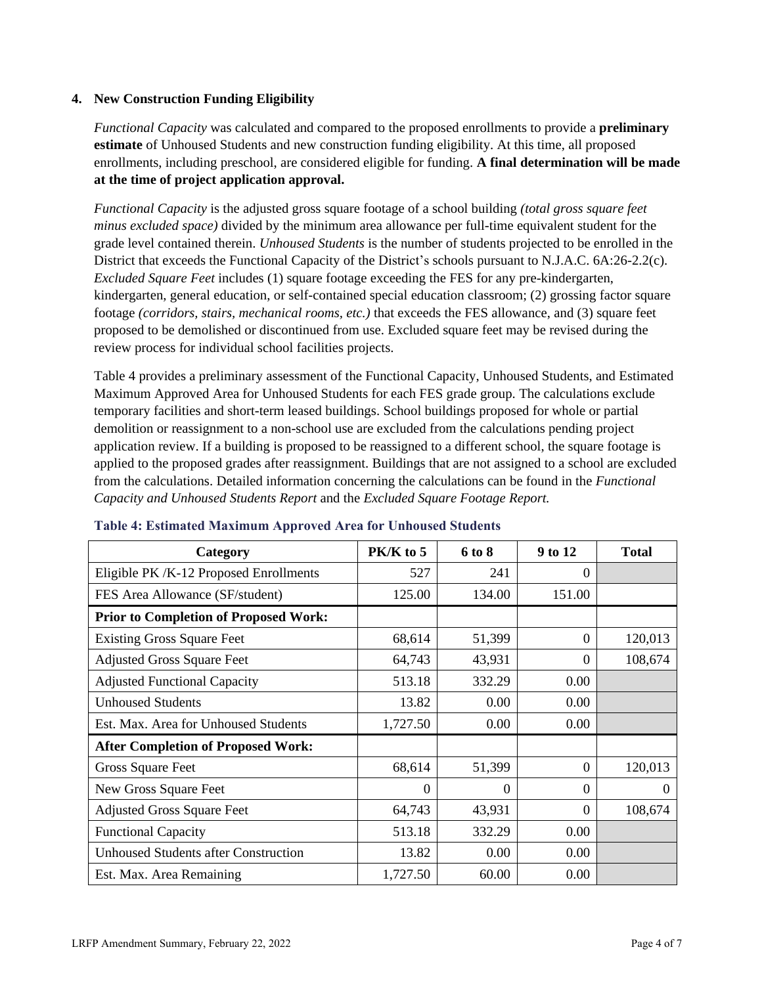#### **4. New Construction Funding Eligibility**

*Functional Capacity* was calculated and compared to the proposed enrollments to provide a **preliminary estimate** of Unhoused Students and new construction funding eligibility. At this time, all proposed enrollments, including preschool, are considered eligible for funding. **A final determination will be made at the time of project application approval.**

*Functional Capacity* is the adjusted gross square footage of a school building *(total gross square feet minus excluded space)* divided by the minimum area allowance per full-time equivalent student for the grade level contained therein. *Unhoused Students* is the number of students projected to be enrolled in the District that exceeds the Functional Capacity of the District's schools pursuant to N.J.A.C. 6A:26-2.2(c). *Excluded Square Feet* includes (1) square footage exceeding the FES for any pre-kindergarten, kindergarten, general education, or self-contained special education classroom; (2) grossing factor square footage *(corridors, stairs, mechanical rooms, etc.)* that exceeds the FES allowance, and (3) square feet proposed to be demolished or discontinued from use. Excluded square feet may be revised during the review process for individual school facilities projects.

Table 4 provides a preliminary assessment of the Functional Capacity, Unhoused Students, and Estimated Maximum Approved Area for Unhoused Students for each FES grade group. The calculations exclude temporary facilities and short-term leased buildings. School buildings proposed for whole or partial demolition or reassignment to a non-school use are excluded from the calculations pending project application review. If a building is proposed to be reassigned to a different school, the square footage is applied to the proposed grades after reassignment. Buildings that are not assigned to a school are excluded from the calculations. Detailed information concerning the calculations can be found in the *Functional Capacity and Unhoused Students Report* and the *Excluded Square Footage Report.*

| Category                                     | PK/K to 5 | 6 to 8 | 9 to 12        | <b>Total</b> |
|----------------------------------------------|-----------|--------|----------------|--------------|
| Eligible PK /K-12 Proposed Enrollments       | 527       | 241    | 0              |              |
| FES Area Allowance (SF/student)              | 125.00    | 134.00 | 151.00         |              |
| <b>Prior to Completion of Proposed Work:</b> |           |        |                |              |
| <b>Existing Gross Square Feet</b>            | 68,614    | 51,399 | $\overline{0}$ | 120,013      |
| <b>Adjusted Gross Square Feet</b>            | 64,743    | 43,931 | $\Omega$       | 108,674      |
| <b>Adjusted Functional Capacity</b>          | 513.18    | 332.29 | 0.00           |              |
| <b>Unhoused Students</b>                     | 13.82     | 0.00   | 0.00           |              |
| Est. Max. Area for Unhoused Students         | 1,727.50  | 0.00   | 0.00           |              |
| <b>After Completion of Proposed Work:</b>    |           |        |                |              |
| Gross Square Feet                            | 68,614    | 51,399 | $\theta$       | 120,013      |
| New Gross Square Feet                        | $\Omega$  | 0      | $\Omega$       | $\theta$     |
| <b>Adjusted Gross Square Feet</b>            | 64,743    | 43,931 | $\overline{0}$ | 108,674      |
| <b>Functional Capacity</b>                   | 513.18    | 332.29 | 0.00           |              |
| <b>Unhoused Students after Construction</b>  | 13.82     | 0.00   | 0.00           |              |
| Est. Max. Area Remaining                     | 1,727.50  | 60.00  | 0.00           |              |

#### **Table 4: Estimated Maximum Approved Area for Unhoused Students**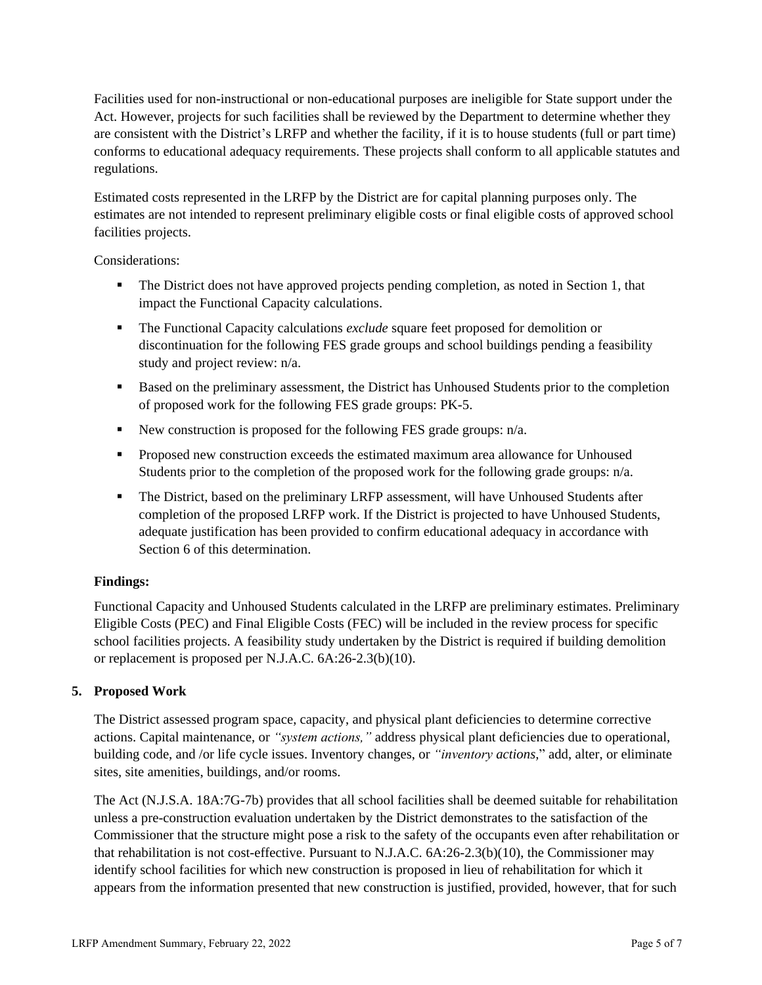Facilities used for non-instructional or non-educational purposes are ineligible for State support under the Act. However, projects for such facilities shall be reviewed by the Department to determine whether they are consistent with the District's LRFP and whether the facility, if it is to house students (full or part time) conforms to educational adequacy requirements. These projects shall conform to all applicable statutes and regulations.

Estimated costs represented in the LRFP by the District are for capital planning purposes only. The estimates are not intended to represent preliminary eligible costs or final eligible costs of approved school facilities projects.

Considerations:

- **•** The District does not have approved projects pending completion, as noted in Section 1, that impact the Functional Capacity calculations.
- The Functional Capacity calculations *exclude* square feet proposed for demolition or discontinuation for the following FES grade groups and school buildings pending a feasibility study and project review: n/a.
- Based on the preliminary assessment, the District has Unhoused Students prior to the completion of proposed work for the following FES grade groups: PK-5.
- New construction is proposed for the following FES grade groups: n/a.
- Proposed new construction exceeds the estimated maximum area allowance for Unhoused Students prior to the completion of the proposed work for the following grade groups: n/a.
- **•** The District, based on the preliminary LRFP assessment, will have Unhoused Students after completion of the proposed LRFP work. If the District is projected to have Unhoused Students, adequate justification has been provided to confirm educational adequacy in accordance with Section 6 of this determination.

## **Findings:**

Functional Capacity and Unhoused Students calculated in the LRFP are preliminary estimates. Preliminary Eligible Costs (PEC) and Final Eligible Costs (FEC) will be included in the review process for specific school facilities projects. A feasibility study undertaken by the District is required if building demolition or replacement is proposed per N.J.A.C. 6A:26-2.3(b)(10).

## **5. Proposed Work**

The District assessed program space, capacity, and physical plant deficiencies to determine corrective actions. Capital maintenance, or *"system actions,"* address physical plant deficiencies due to operational, building code, and /or life cycle issues. Inventory changes, or *"inventory actions,*" add, alter, or eliminate sites, site amenities, buildings, and/or rooms.

The Act (N.J.S.A. 18A:7G-7b) provides that all school facilities shall be deemed suitable for rehabilitation unless a pre-construction evaluation undertaken by the District demonstrates to the satisfaction of the Commissioner that the structure might pose a risk to the safety of the occupants even after rehabilitation or that rehabilitation is not cost-effective. Pursuant to N.J.A.C. 6A:26-2.3(b)(10), the Commissioner may identify school facilities for which new construction is proposed in lieu of rehabilitation for which it appears from the information presented that new construction is justified, provided, however, that for such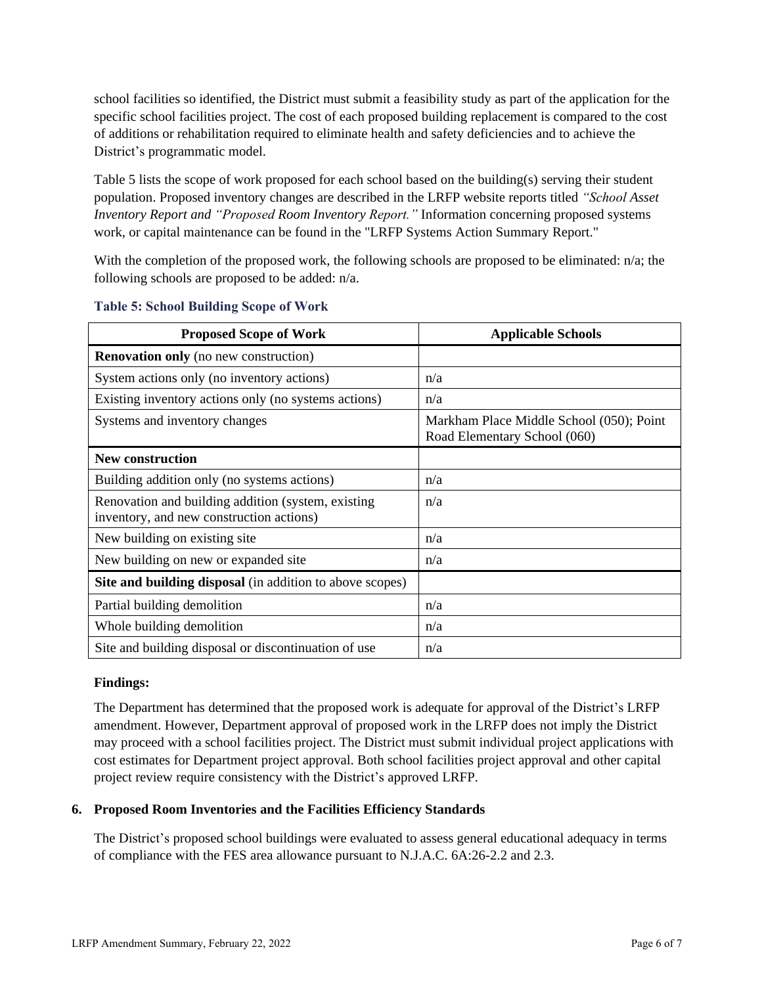school facilities so identified, the District must submit a feasibility study as part of the application for the specific school facilities project. The cost of each proposed building replacement is compared to the cost of additions or rehabilitation required to eliminate health and safety deficiencies and to achieve the District's programmatic model.

Table 5 lists the scope of work proposed for each school based on the building(s) serving their student population. Proposed inventory changes are described in the LRFP website reports titled *"School Asset Inventory Report and "Proposed Room Inventory Report."* Information concerning proposed systems work, or capital maintenance can be found in the "LRFP Systems Action Summary Report."

With the completion of the proposed work, the following schools are proposed to be eliminated: n/a; the following schools are proposed to be added: n/a.

| <b>Proposed Scope of Work</b>                                                                  | <b>Applicable Schools</b>                                                |
|------------------------------------------------------------------------------------------------|--------------------------------------------------------------------------|
| <b>Renovation only</b> (no new construction)                                                   |                                                                          |
| System actions only (no inventory actions)                                                     | n/a                                                                      |
| Existing inventory actions only (no systems actions)                                           | n/a                                                                      |
| Systems and inventory changes                                                                  | Markham Place Middle School (050); Point<br>Road Elementary School (060) |
| <b>New construction</b>                                                                        |                                                                          |
| Building addition only (no systems actions)                                                    | n/a                                                                      |
| Renovation and building addition (system, existing<br>inventory, and new construction actions) | n/a                                                                      |
| New building on existing site                                                                  | n/a                                                                      |
| New building on new or expanded site                                                           | n/a                                                                      |
| Site and building disposal (in addition to above scopes)                                       |                                                                          |
| Partial building demolition                                                                    | n/a                                                                      |
| Whole building demolition                                                                      | n/a                                                                      |
| Site and building disposal or discontinuation of use                                           | n/a                                                                      |

#### **Table 5: School Building Scope of Work**

#### **Findings:**

The Department has determined that the proposed work is adequate for approval of the District's LRFP amendment. However, Department approval of proposed work in the LRFP does not imply the District may proceed with a school facilities project. The District must submit individual project applications with cost estimates for Department project approval. Both school facilities project approval and other capital project review require consistency with the District's approved LRFP.

## **6. Proposed Room Inventories and the Facilities Efficiency Standards**

The District's proposed school buildings were evaluated to assess general educational adequacy in terms of compliance with the FES area allowance pursuant to N.J.A.C. 6A:26-2.2 and 2.3.